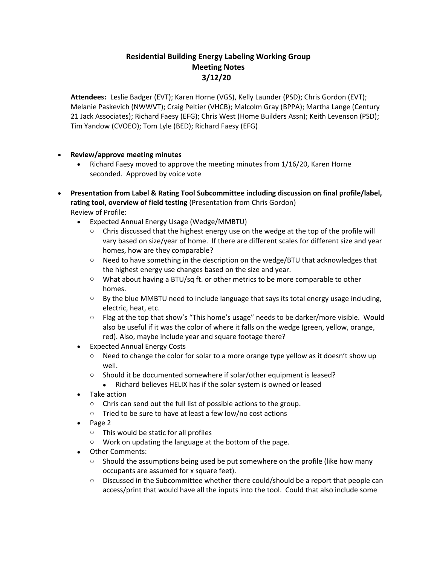## **Residential Building Energy Labeling Working Group Meeting Notes 3/12/20**

**Attendees:** Leslie Badger (EVT); Karen Horne (VGS), Kelly Launder (PSD); Chris Gordon (EVT); Melanie Paskevich (NWWVT); Craig Peltier (VHCB); Malcolm Gray (BPPA); Martha Lange (Century 21 Jack Associates); Richard Faesy (EFG); Chris West (Home Builders Assn); Keith Levenson (PSD); Tim Yandow (CVOEO); Tom Lyle (BED); Richard Faesy (EFG)

- **Review/approve meeting minutes** 
	- Richard Faesy moved to approve the meeting minutes from 1/16/20, Karen Horne seconded. Approved by voice vote
- **Presentation from Label & Rating Tool Subcommittee including discussion on final profile/label, rating tool, overview of field testing** (Presentation from Chris Gordon) Review of Profile:
	- Expected Annual Energy Usage (Wedge/MMBTU)
		- $\circ$  Chris discussed that the highest energy use on the wedge at the top of the profile will vary based on size/year of home. If there are different scales for different size and year homes, how are they comparable?
		- o Need to have something in the description on the wedge/BTU that acknowledges that the highest energy use changes based on the size and year.
		- $\circ$  What about having a BTU/sq ft. or other metrics to be more comparable to other homes.
		- $\circ$  By the blue MMBTU need to include language that says its total energy usage including, electric, heat, etc.
		- $\circ$  Flag at the top that show's "This home's usage" needs to be darker/more visible. Would also be useful if it was the color of where it falls on the wedge (green, yellow, orange, red). Also, maybe include year and square footage there?
	- Expected Annual Energy Costs
		- $\circ$  Need to change the color for solar to a more orange type yellow as it doesn't show up well.
		- o Should it be documented somewhere if solar/other equipment is leased?
			- Richard believes HELIX has if the solar system is owned or leased
	- Take action
		- o Chris can send out the full list of possible actions to the group.
		- o Tried to be sure to have at least a few low/no cost actions
	- Page 2
		- o This would be static for all profiles
		- o Work on updating the language at the bottom of the page.
	- Other Comments:
		- $\circ$  Should the assumptions being used be put somewhere on the profile (like how many occupants are assumed for x square feet).
		- $\circ$  Discussed in the Subcommittee whether there could/should be a report that people can access/print that would have all the inputs into the tool. Could that also include some